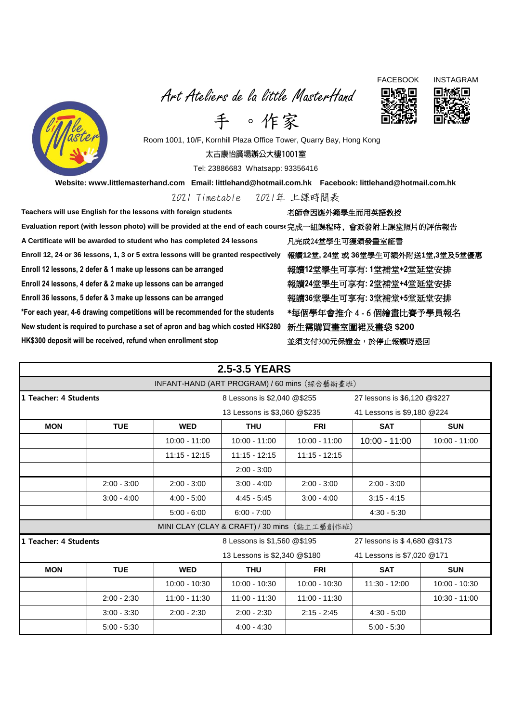Art Ateliers de la little MasterHand







手 。作家 Room 1001, 10/F, Kornhill Plaza Office Tower, Quarry Bay, Hong Kong

太古康怡廣場辦公大樓1001室

Tel: 23886683 Whatsapp: 93356416

**Website: www.littlemasterhand.com Email: littlehand@hotmail.com.hk Facebook: littlehand@hotmail.com.hk**

2021 Timetable 2021年 上課時間表

Teachers will use English for the lessons with foreign students **Warel and all and all and all and a Evaluation report (with lesson photo) will be provided at the end of each course**完成一組課程時, 會派發附上課堂照片的評估報告 **A Certificate will be awarded to student who has completed 24 lessons** 凡完成24堂學生可獲頒發畫室証書 **Enroll 12, 24 or 36 lessons, 1, 3 or 5 extra lessons will be granted respectively** 報讀**12**堂**, 24**堂 或 **36**堂學生可額外附送**1**堂**,3**堂及**5**堂優惠 **Enroll 12 lessons, 2 defer & 1 make up lessons can be arranged** 報讀**12**堂學生可享有**: 1**堂補堂**+2**堂延堂安排 **Enroll 24 lessons, 4 defer & 2 make up lessons can be arranged** 報讀**24**堂學生可享有**: 2**堂補堂**+4**堂延堂安排 **Enroll 36 lessons, 5 defer & 3 make up lessons can be arranged** 報讀**36**堂學生可享有**: 3**堂補堂**+5**堂延堂安排 **\*For each year, 4-6 drawing competitions will be recommended for the students** \*每個學年會推介 4 - 6 個繪畫比賽予學員報名 **New student is required to purchase a set of apron and bag which costed HK\$280** 新生需購買畫室圍裙及畫袋 **\$200 HK\$300 deposit will be received, refund when enrollment stop** 並須支付300元保證金,於停止報讀時退回

|                                              |               |                 | <b>2.5-3.5 YEARS</b>                         |                 |                              |                 |  |  |  |
|----------------------------------------------|---------------|-----------------|----------------------------------------------|-----------------|------------------------------|-----------------|--|--|--|
| INFANT-HAND (ART PROGRAM) / 60 mins (綜合藝術畫班) |               |                 |                                              |                 |                              |                 |  |  |  |
| 1 Teacher: 4 Students                        |               |                 | 8 Lessons is \$2,040 @\$255                  |                 | 27 lessons is \$6,120 @\$227 |                 |  |  |  |
|                                              |               |                 | 13 Lessons is \$3,060 @\$235                 |                 | 41 Lessons is \$9,180 @224   |                 |  |  |  |
| <b>MON</b>                                   | <b>TUE</b>    | <b>WED</b>      | <b>THU</b>                                   | <b>FRI</b>      | <b>SAT</b>                   | <b>SUN</b>      |  |  |  |
|                                              |               | $10:00 - 11:00$ | $10:00 - 11:00$                              | $10:00 - 11:00$ | $10:00 - 11:00$              | $10:00 - 11:00$ |  |  |  |
|                                              |               | $11:15 - 12:15$ | $11:15 - 12:15$                              | $11:15 - 12:15$ |                              |                 |  |  |  |
|                                              |               |                 | $2:00 - 3:00$                                |                 |                              |                 |  |  |  |
|                                              | $2:00 - 3:00$ | $2:00 - 3:00$   | $3:00 - 4:00$                                | $2:00 - 3:00$   | $2:00 - 3:00$                |                 |  |  |  |
|                                              | $3:00 - 4:00$ | $4:00 - 5:00$   | $4:45 - 5:45$                                | $3:00 - 4:00$   | $3:15 - 4:15$                |                 |  |  |  |
|                                              |               | $5:00 - 6:00$   | $6:00 - 7:00$                                |                 | $4:30 - 5:30$                |                 |  |  |  |
|                                              |               |                 | MINI CLAY (CLAY & CRAFT) / 30 mins (黏土工藝創作班) |                 |                              |                 |  |  |  |
| 1 Teacher: 4 Students                        |               |                 | 8 Lessons is \$1,560 @\$195                  |                 | 27 lessons is \$4,680 @\$173 |                 |  |  |  |
|                                              |               |                 | 13 Lessons is \$2,340 @\$180                 |                 | 41 Lessons is \$7,020 @171   |                 |  |  |  |
| <b>MON</b>                                   | <b>TUE</b>    | <b>WED</b>      | <b>THU</b>                                   | <b>FRI</b>      | <b>SAT</b>                   | <b>SUN</b>      |  |  |  |
|                                              |               | $10:00 - 10:30$ | $10:00 - 10:30$                              | $10:00 - 10:30$ | $11:30 - 12:00$              | $10:00 - 10:30$ |  |  |  |
|                                              | $2:00 - 2:30$ | $11:00 - 11:30$ | $11:00 - 11:30$                              | $11:00 - 11:30$ |                              | $10:30 - 11:00$ |  |  |  |
|                                              | $3:00 - 3:30$ | $2:00 - 2:30$   | $2:00 - 2:30$                                | $2:15 - 2:45$   | $4:30 - 5:00$                |                 |  |  |  |
|                                              | $5:00 - 5:30$ |                 | $4:00 - 4:30$                                |                 | $5:00 - 5:30$                |                 |  |  |  |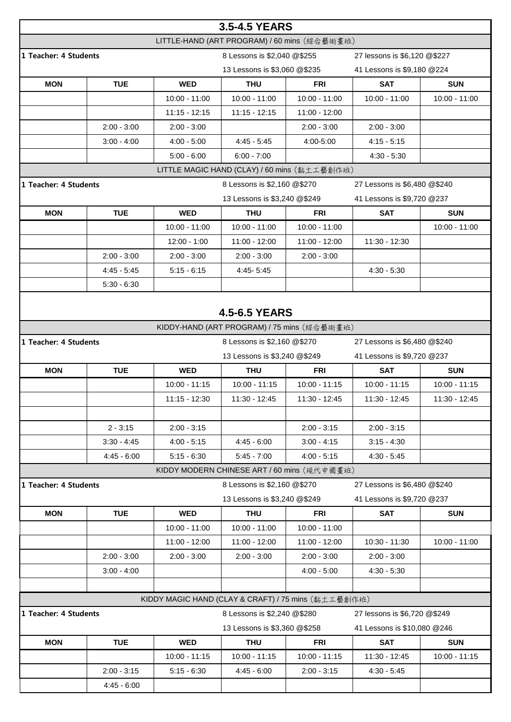| 3.5-4.5 YEARS                                                                        |               |                                                     |                                              |                 |                              |                 |  |  |
|--------------------------------------------------------------------------------------|---------------|-----------------------------------------------------|----------------------------------------------|-----------------|------------------------------|-----------------|--|--|
|                                                                                      |               |                                                     | LITTLE-HAND (ART PROGRAM) / 60 mins (綜合藝術畫班) |                 |                              |                 |  |  |
| 1 Teacher: 4 Students                                                                |               |                                                     | 8 Lessons is \$2,040 @\$255                  |                 | 27 lessons is \$6,120 @\$227 |                 |  |  |
|                                                                                      |               |                                                     | 13 Lessons is \$3,060 @\$235                 |                 | 41 Lessons is \$9,180 @224   |                 |  |  |
| <b>MON</b>                                                                           | <b>TUE</b>    | <b>WED</b>                                          | <b>THU</b>                                   | <b>FRI</b>      | <b>SAT</b>                   | <b>SUN</b>      |  |  |
|                                                                                      |               | 10:00 - 11:00                                       | 10:00 - 11:00                                | $10:00 - 11:00$ | $10:00 - 11:00$              | 10:00 - 11:00   |  |  |
|                                                                                      |               | $11:15 - 12:15$                                     | $11:15 - 12:15$                              | 11:00 - 12:00   |                              |                 |  |  |
|                                                                                      | $2:00 - 3:00$ | $2:00 - 3:00$                                       |                                              | $2:00 - 3:00$   | $2:00 - 3:00$                |                 |  |  |
|                                                                                      | $3:00 - 4:00$ | $4:00 - 5:00$                                       | $4:45 - 5:45$                                | 4:00-5:00       | $4:15 - 5:15$                |                 |  |  |
|                                                                                      |               | $5:00 - 6:00$                                       | $6:00 - 7:00$                                |                 | $4:30 - 5:30$                |                 |  |  |
|                                                                                      |               |                                                     | LITTLE MAGIC HAND (CLAY) / 60 mins (黏土工藝創作班) |                 |                              |                 |  |  |
| 1 Teacher: 4 Students                                                                |               |                                                     | 8 Lessons is \$2,160 @\$270                  |                 | 27 Lessons is \$6,480 @\$240 |                 |  |  |
|                                                                                      |               |                                                     | 13 Lessons is \$3,240 @\$249                 |                 | 41 Lessons is \$9,720 @237   |                 |  |  |
| <b>MON</b>                                                                           | <b>TUE</b>    | <b>WED</b>                                          | <b>THU</b>                                   | <b>FRI</b>      | <b>SAT</b>                   | <b>SUN</b>      |  |  |
|                                                                                      |               | 10:00 - 11:00                                       | $10:00 - 11:00$                              | 10:00 - 11:00   |                              | 10:00 - 11:00   |  |  |
|                                                                                      |               | $12:00 - 1:00$                                      | $11:00 - 12:00$                              | 11:00 - 12:00   | 11:30 - 12:30                |                 |  |  |
|                                                                                      | $2:00 - 3:00$ | $2:00 - 3:00$                                       | $2:00 - 3:00$                                | $2:00 - 3:00$   |                              |                 |  |  |
|                                                                                      | $4:45 - 5:45$ | $5:15 - 6:15$                                       | 4:45-5:45                                    |                 | $4:30 - 5:30$                |                 |  |  |
|                                                                                      | $5:30 - 6:30$ |                                                     |                                              |                 |                              |                 |  |  |
|                                                                                      |               |                                                     |                                              |                 |                              |                 |  |  |
|                                                                                      |               |                                                     | <b>4.5-6.5 YEARS</b>                         |                 |                              |                 |  |  |
|                                                                                      |               |                                                     | KIDDY-HAND (ART PROGRAM) / 75 mins (綜合藝術畫班)  |                 |                              |                 |  |  |
| 1 Teacher: 4 Students                                                                |               |                                                     | 8 Lessons is \$2,160 @\$270                  |                 | 27 Lessons is \$6,480 @\$240 |                 |  |  |
|                                                                                      |               |                                                     | 13 Lessons is \$3,240 @\$249                 |                 | 41 Lessons is \$9,720 @237   |                 |  |  |
| <b>MON</b>                                                                           | <b>TUE</b>    | <b>WED</b>                                          | <b>THU</b>                                   | <b>FRI</b>      | <b>SAT</b>                   | <b>SUN</b>      |  |  |
|                                                                                      |               | $10:00 - 11:15$                                     | $10:00 - 11:15$                              | $10:00 - 11:15$ | $10:00 - 11:15$              | $10:00 - 11:15$ |  |  |
|                                                                                      |               | 11:15 - 12:30                                       | 11:30 - 12:45                                | 11:30 - 12:45   | 11:30 - 12:45                | 11:30 - 12:45   |  |  |
|                                                                                      |               |                                                     |                                              |                 |                              |                 |  |  |
|                                                                                      | $2 - 3:15$    | $2:00 - 3:15$                                       |                                              | $2:00 - 3:15$   | $2:00 - 3:15$                |                 |  |  |
|                                                                                      | $3:30 - 4:45$ | $4:00 - 5:15$                                       | $4:45 - 6:00$                                | $3:00 - 4:15$   | $3:15 - 4:30$                |                 |  |  |
|                                                                                      | $4:45 - 6:00$ | $5:15 - 6:30$                                       | $5:45 - 7:00$                                | $4:00 - 5:15$   | $4:30 - 5:45$                |                 |  |  |
|                                                                                      |               |                                                     | KIDDY MODERN CHINESE ART / 60 mins (現代中國畫班)  |                 |                              |                 |  |  |
| 1 Teacher: 4 Students                                                                |               |                                                     | 8 Lessons is \$2,160 @\$270                  |                 | 27 Lessons is \$6,480 @\$240 |                 |  |  |
|                                                                                      |               |                                                     | 13 Lessons is \$3,240 @\$249                 |                 | 41 Lessons is \$9,720 @237   |                 |  |  |
| <b>MON</b>                                                                           | <b>TUE</b>    | <b>WED</b>                                          | <b>THU</b>                                   | FRI             | <b>SAT</b>                   | <b>SUN</b>      |  |  |
|                                                                                      |               | 10:00 - 11:00                                       | $10:00 - 11:00$                              | 10:00 - 11:00   |                              |                 |  |  |
|                                                                                      |               | 11:00 - 12:00                                       | 11:00 - 12:00                                | 11:00 - 12:00   | 10:30 - 11:30                | $10:00 - 11:00$ |  |  |
|                                                                                      | $2:00 - 3:00$ | $2:00 - 3:00$                                       | $2:00 - 3:00$                                | $2:00 - 3:00$   | $2:00 - 3:00$                |                 |  |  |
|                                                                                      | $3:00 - 4:00$ |                                                     |                                              | $4:00 - 5:00$   | $4:30 - 5:30$                |                 |  |  |
|                                                                                      |               |                                                     |                                              |                 |                              |                 |  |  |
|                                                                                      |               | KIDDY MAGIC HAND (CLAY & CRAFT) / 75 mins (黏土工藝創作班) |                                              |                 |                              |                 |  |  |
| 1 Teacher: 4 Students<br>8 Lessons is \$2,240 @\$280<br>27 lessons is \$6,720 @\$249 |               |                                                     |                                              |                 |                              |                 |  |  |
|                                                                                      |               |                                                     | 13 Lessons is \$3,360 @\$258                 |                 | 41 Lessons is \$10,080 @246  |                 |  |  |
| <b>MON</b>                                                                           | <b>TUE</b>    | <b>WED</b>                                          | <b>THU</b>                                   | <b>FRI</b>      | <b>SAT</b>                   | <b>SUN</b>      |  |  |
|                                                                                      |               | $10:00 - 11:15$                                     | 10:00 - 11:15                                | $10:00 - 11:15$ | 11:30 - 12:45                | $10:00 - 11:15$ |  |  |
|                                                                                      | $2:00 - 3:15$ | $5:15 - 6:30$                                       | $4:45 - 6:00$                                | $2:00 - 3:15$   | $4:30 - 5:45$                |                 |  |  |
|                                                                                      |               |                                                     |                                              |                 |                              |                 |  |  |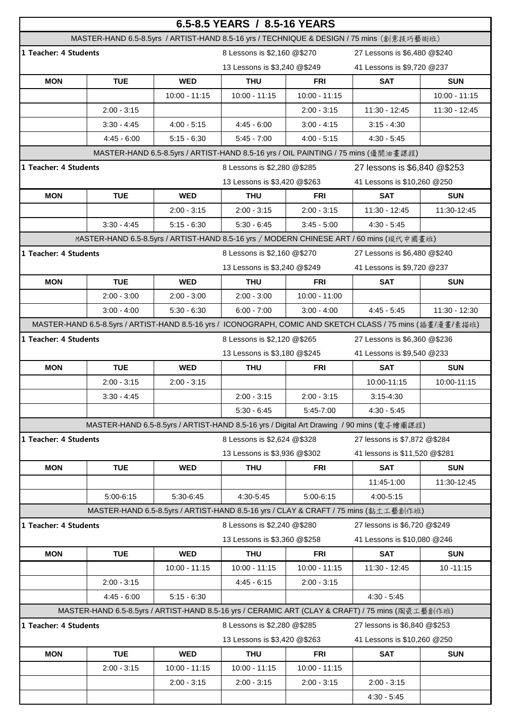|                                                                                                  |                                                                                                            |                 | 6.5-8.5 YEARS / 8.5-16 YEARS |                 |                                                                                          |               |  |
|--------------------------------------------------------------------------------------------------|------------------------------------------------------------------------------------------------------------|-----------------|------------------------------|-----------------|------------------------------------------------------------------------------------------|---------------|--|
|                                                                                                  | MASTER-HAND 6.5-8.5yrs / ARTIST-HAND 8.5-16 yrs / TECHNIQUE & DESIGN / 75 mins (創意技巧藝術班)                   |                 |                              |                 |                                                                                          |               |  |
| 1 Teacher: 4 Students                                                                            |                                                                                                            |                 | 8 Lessons is \$2,160 @\$270  |                 | 27 Lessons is \$6,480 @\$240                                                             |               |  |
|                                                                                                  |                                                                                                            |                 | 13 Lessons is \$3,240 @\$249 |                 | 41 Lessons is \$9,720 @237                                                               |               |  |
| <b>MON</b>                                                                                       | <b>TUE</b>                                                                                                 | <b>WED</b>      | <b>THU</b>                   | <b>FRI</b>      | <b>SAT</b>                                                                               | <b>SUN</b>    |  |
|                                                                                                  |                                                                                                            | $10:00 - 11:15$ | $10:00 - 11:15$              | $10:00 - 11:15$ |                                                                                          | 10:00 - 11:15 |  |
|                                                                                                  | $2:00 - 3:15$                                                                                              |                 |                              | $2:00 - 3:15$   | 11:30 - 12:45                                                                            | 11:30 - 12:45 |  |
|                                                                                                  | $3:30 - 4:45$                                                                                              | $4:00 - 5:15$   | $4:45 - 6:00$                | $3:00 - 4:15$   | $3:15 - 4:30$                                                                            |               |  |
|                                                                                                  | $4:45 - 6:00$                                                                                              | $5:15 - 6:30$   | $5:45 - 7:00$                | $4:00 - 5:15$   | $4:30 - 5:45$                                                                            |               |  |
|                                                                                                  |                                                                                                            |                 |                              |                 | MASTER-HAND 6.5-8.5yrs / ARTIST-HAND 8.5-16 yrs / OIL PAINTING / 75 mins (優閒油畫課程)        |               |  |
| 1 Teacher: 4 Students                                                                            |                                                                                                            |                 | 8 Lessons is \$2,280 @\$285  |                 | 27 lessons is \$6,840 @\$253                                                             |               |  |
|                                                                                                  |                                                                                                            |                 | 13 Lessons is \$3,420 @\$263 |                 | 41 Lessons is \$10,260 @250                                                              |               |  |
| <b>MON</b>                                                                                       | <b>TUE</b>                                                                                                 | <b>WED</b>      | <b>THU</b>                   | <b>FRI</b>      | <b>SAT</b>                                                                               | <b>SUN</b>    |  |
|                                                                                                  |                                                                                                            | $2:00 - 3:15$   | $2:00 - 3:15$                | $2:00 - 3:15$   | 11:30 - 12:45                                                                            | 11:30-12:45   |  |
|                                                                                                  | $3:30 - 4:45$                                                                                              | $5:15 - 6:30$   | $5:30 - 6:45$                | $3:45 - 5:00$   | $4:30 - 5:45$                                                                            |               |  |
|                                                                                                  | MASTER-HAND 6.5-8.5yrs / ARTIST-HAND 8.5-16 yrs / MODERN CHINESE ART / 60 mins (現代中國畫班)                    |                 |                              |                 |                                                                                          |               |  |
| 1 Teacher: 4 Students                                                                            |                                                                                                            |                 | 8 Lessons is \$2,160 @\$270  |                 | 27 Lessons is \$6,480 @\$240                                                             |               |  |
|                                                                                                  |                                                                                                            |                 | 13 Lessons is \$3,240 @\$249 |                 | 41 Lessons is \$9,720 @237                                                               |               |  |
| <b>MON</b>                                                                                       | <b>TUE</b>                                                                                                 | <b>WED</b>      | <b>THU</b>                   | <b>FRI</b>      | <b>SAT</b>                                                                               | <b>SUN</b>    |  |
|                                                                                                  | $2:00 - 3:00$                                                                                              | $2:00 - 3:00$   | $2:00 - 3:00$                | $10:00 - 11:00$ |                                                                                          |               |  |
|                                                                                                  | $3:00 - 4:00$                                                                                              | $5:30 - 6:30$   | $6:00 - 7:00$                | $3:00 - 4:00$   | $4:45 - 5:45$                                                                            | 11:30 - 12:30 |  |
|                                                                                                  | MASTER-HAND 6.5-8.5yrs / ARTIST-HAND 8.5-16 yrs / ICONOGRAPH, COMIC AND SKETCH CLASS / 75 mins (插畫/漫畫/素描班) |                 |                              |                 |                                                                                          |               |  |
| 1 Teacher: 4 Students                                                                            |                                                                                                            |                 | 8 Lessons is \$2,120 @\$265  |                 | 27 Lessons is \$6,360 @\$236                                                             |               |  |
|                                                                                                  |                                                                                                            |                 | 13 Lessons is \$3,180 @\$245 |                 | 41 Lessons is \$9,540 @233                                                               |               |  |
| <b>MON</b>                                                                                       | <b>TUE</b>                                                                                                 | <b>WED</b>      | <b>THU</b>                   | <b>FRI</b>      | <b>SAT</b>                                                                               | <b>SUN</b>    |  |
|                                                                                                  |                                                                                                            |                 |                              |                 |                                                                                          |               |  |
|                                                                                                  | $2:00 - 3:15$                                                                                              | $2:00 - 3:15$   |                              |                 | 10:00-11:15                                                                              | 10:00-11:15   |  |
|                                                                                                  | $3:30 - 4:45$                                                                                              |                 | $2:00 - 3:15$                | $2:00 - 3:15$   | $3:15 - 4:30$                                                                            |               |  |
|                                                                                                  |                                                                                                            |                 | $5:30 - 6:45$                | 5:45-7:00       | $4:30 - 5:45$                                                                            |               |  |
|                                                                                                  |                                                                                                            |                 |                              |                 | MASTER-HAND 6.5-8.5yrs / ARTIST-HAND 8.5-16 yrs / Digital Art Drawing / 90 mins (電子繪圖課程) |               |  |
| 1 Teacher: 4 Students                                                                            |                                                                                                            |                 | 8 Lessons is \$2,624 @\$328  |                 | 27 lessons is \$7,872 @\$284                                                             |               |  |
|                                                                                                  |                                                                                                            |                 | 13 Lessons is \$3,936 @\$302 |                 | 41 lessons is \$11,520 @\$281                                                            |               |  |
| <b>MON</b>                                                                                       | <b>TUE</b>                                                                                                 | <b>WED</b>      | <b>THU</b>                   | <b>FRI</b>      | <b>SAT</b>                                                                               | <b>SUN</b>    |  |
|                                                                                                  |                                                                                                            |                 |                              |                 | 11:45-1:00                                                                               | 11:30-12:45   |  |
|                                                                                                  | 5:00-6:15                                                                                                  | 5:30-6:45       | 4:30-5:45                    | 5:00-6:15       | 4:00-5:15                                                                                |               |  |
|                                                                                                  |                                                                                                            |                 |                              |                 | MASTER-HAND 6.5-8.5yrs / ARTIST-HAND 8.5-16 yrs / CLAY & CRAFT / 75 mins (黏土工藝創作班)       |               |  |
| 1 Teacher: 4 Students                                                                            |                                                                                                            |                 | 8 Lessons is \$2,240 @\$280  |                 | 27 lessons is \$6,720 @\$249                                                             |               |  |
|                                                                                                  |                                                                                                            |                 | 13 Lessons is \$3,360 @\$258 |                 | 41 Lessons is \$10,080 @246                                                              |               |  |
| <b>MON</b>                                                                                       | <b>TUE</b>                                                                                                 | <b>WED</b>      | <b>THU</b>                   | <b>FRI</b>      | <b>SAT</b>                                                                               | <b>SUN</b>    |  |
|                                                                                                  |                                                                                                            | $10:00 - 11:15$ | $10:00 - 11:15$              | $10:00 - 11:15$ | 11:30 - 12:45                                                                            | $10 - 11:15$  |  |
|                                                                                                  | $2:00 - 3:15$                                                                                              |                 | $4:45 - 6:15$                | $2:00 - 3:15$   |                                                                                          |               |  |
|                                                                                                  | $4:45 - 6:00$                                                                                              | $5:15 - 6:30$   |                              |                 | $4:30 - 5:45$                                                                            |               |  |
| MASTER-HAND 6.5-8.5yrs / ARTIST-HAND 8.5-16 yrs / CERAMIC ART (CLAY & CRAFT) / 75 mins (陶瓷工藝創作班) |                                                                                                            |                 |                              |                 |                                                                                          |               |  |
| 1 Teacher: 4 Students                                                                            |                                                                                                            |                 | 8 Lessons is \$2,280 @\$285  |                 | 27 lessons is \$6,840 @\$253                                                             |               |  |
| 13 Lessons is \$3,420 @\$263<br>41 Lessons is \$10,260 @250                                      |                                                                                                            |                 |                              |                 |                                                                                          |               |  |
| <b>MON</b>                                                                                       | <b>TUE</b>                                                                                                 | <b>WED</b>      | <b>THU</b>                   | <b>FRI</b>      | <b>SAT</b>                                                                               | <b>SUN</b>    |  |
|                                                                                                  | $2:00 - 3:15$                                                                                              | $10:00 - 11:15$ | $10:00 - 11:15$              | $10:00 - 11:15$ |                                                                                          |               |  |
|                                                                                                  |                                                                                                            | $2:00 - 3:15$   | $2:00 - 3:15$                | $2:00 - 3:15$   | $2:00 - 3:15$                                                                            |               |  |
|                                                                                                  |                                                                                                            |                 |                              |                 | $4:30 - 5:45$                                                                            |               |  |
|                                                                                                  |                                                                                                            |                 |                              |                 |                                                                                          |               |  |